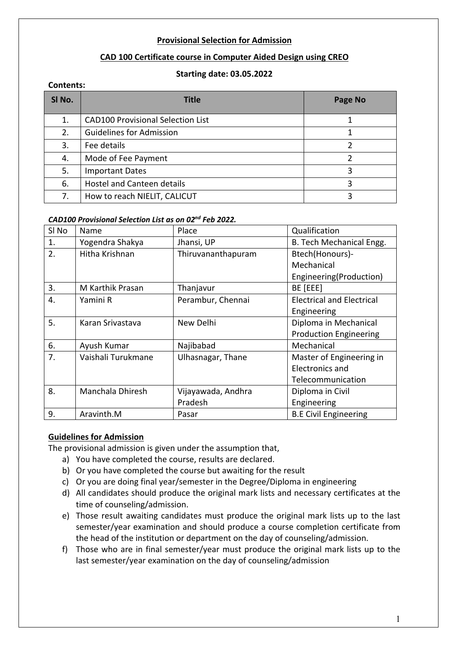## **Provisional Selection for Admission**

# **CAD 100 Certificate course in Computer Aided Design using CREO**

## **Starting date: 03.05.2022**

## **Contents:**

| SI No. | <b>Title</b>                             | Page No |
|--------|------------------------------------------|---------|
| 1.     | <b>CAD100 Provisional Selection List</b> |         |
| 2.     | <b>Guidelines for Admission</b>          |         |
| 3.     | Fee details                              |         |
| 4.     | Mode of Fee Payment                      |         |
| 5.     | <b>Important Dates</b>                   | ੨       |
| 6.     | <b>Hostel and Canteen details</b>        |         |
| 7.     | How to reach NIELIT, CALICUT             |         |

## *CAD100 Provisional Selection List as on 02nd Feb 2022.*

| SI No | Name               | Place              | Qualification                    |
|-------|--------------------|--------------------|----------------------------------|
| 1.    | Yogendra Shakya    | Jhansi, UP         | B. Tech Mechanical Engg.         |
| 2.    | Hitha Krishnan     | Thiruvananthapuram | Btech(Honours)-                  |
|       |                    |                    | Mechanical                       |
|       |                    |                    | Engineering(Production)          |
| 3.    | M Karthik Prasan   | Thanjavur          | BE [EEE]                         |
| 4.    | Yamini R           | Perambur, Chennai  | <b>Electrical and Electrical</b> |
|       |                    |                    | Engineering                      |
| 5.    | Karan Srivastava   | New Delhi          | Diploma in Mechanical            |
|       |                    |                    | <b>Production Engineering</b>    |
| 6.    | Ayush Kumar        | Najibabad          | Mechanical                       |
| 7.    | Vaishali Turukmane | Ulhasnagar, Thane  | Master of Engineering in         |
|       |                    |                    | Electronics and                  |
|       |                    |                    | Telecommunication                |
| 8.    | Manchala Dhiresh   | Vijayawada, Andhra | Diploma in Civil                 |
|       |                    | Pradesh            | Engineering                      |
| 9.    | Aravinth.M         | Pasar              | <b>B.E Civil Engineering</b>     |

# **Guidelines for Admission**

The provisional admission is given under the assumption that,

- a) You have completed the course, results are declared.
- b) Or you have completed the course but awaiting for the result
- c) Or you are doing final year/semester in the Degree/Diploma in engineering
- d) All candidates should produce the original mark lists and necessary certificates at the time of counseling/admission.
- e) Those result awaiting candidates must produce the original mark lists up to the last semester/year examination and should produce a course completion certificate from the head of the institution or department on the day of counseling/admission.
- f) Those who are in final semester/year must produce the original mark lists up to the last semester/year examination on the day of counseling/admission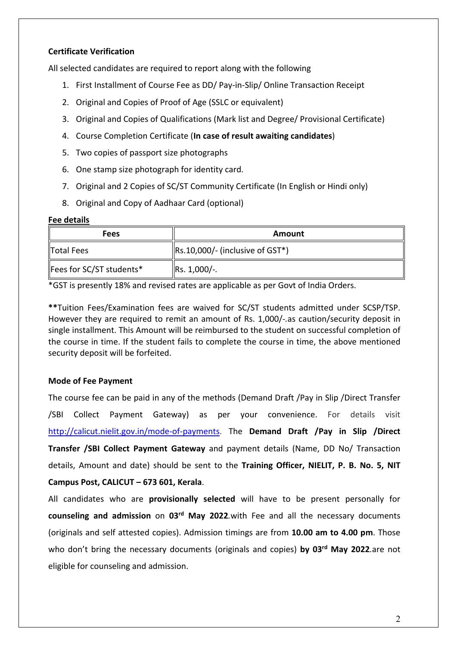# **Certificate Verification**

All selected candidates are required to report along with the following

- 1. First Installment of Course Fee as DD/ Pay-in-Slip/ Online Transaction Receipt
- 2. Original and Copies of Proof of Age (SSLC or equivalent)
- 3. Original and Copies of Qualifications (Mark list and Degree/ Provisional Certificate)
- 4. Course Completion Certificate (**In case of result awaiting candidates**)
- 5. Two copies of passport size photographs
- 6. One stamp size photograph for identity card.
- 7. Original and 2 Copies of SC/ST Community Certificate (In English or Hindi only)
- 8. Original and Copy of Aadhaar Card (optional)

## **Fee details**

| <b>Fees</b>              | Amount                                  |  |  |
|--------------------------|-----------------------------------------|--|--|
| Total Fees               | $\vert$ Rs.10,000/- (inclusive of GST*) |  |  |
| Fees for SC/ST students* | $\left $ Rs. 1,000/-.                   |  |  |

\*GST is presently 18% and revised rates are applicable as per Govt of India Orders.

**\*\***Tuition Fees/Examination fees are waived for SC/ST students admitted under SCSP/TSP. However they are required to remit an amount of Rs. 1,000/-*.*as caution/security deposit in single installment. This Amount will be reimbursed to the student on successful completion of the course in time. If the student fails to complete the course in time, the above mentioned security deposit will be forfeited.

# **Mode of Fee Payment**

The course fee can be paid in any of the methods (Demand Draft /Pay in Slip /Direct Transfer /SBI Collect Payment Gateway) as per your convenience. For details visit http://calicut.nielit.gov.in/mode-of-payments. The **Demand Draft /Pay in Slip /Direct Transfer /SBI Collect Payment Gateway** and payment details (Name, DD No/ Transaction details, Amount and date) should be sent to the **Training Officer, NIELIT, P. B. No. 5, NIT Campus Post, CALICUT – 673 601, Kerala**.

All candidates who are **provisionally selected** will have to be present personally for **counseling and admission** on **03rd May 2022***.*with Fee and all the necessary documents (originals and self attested copies). Admission timings are from **10.00 am to 4.00 pm**. Those who don't bring the necessary documents (originals and copies) by 03<sup>rd</sup> May 2022.are not eligible for counseling and admission.